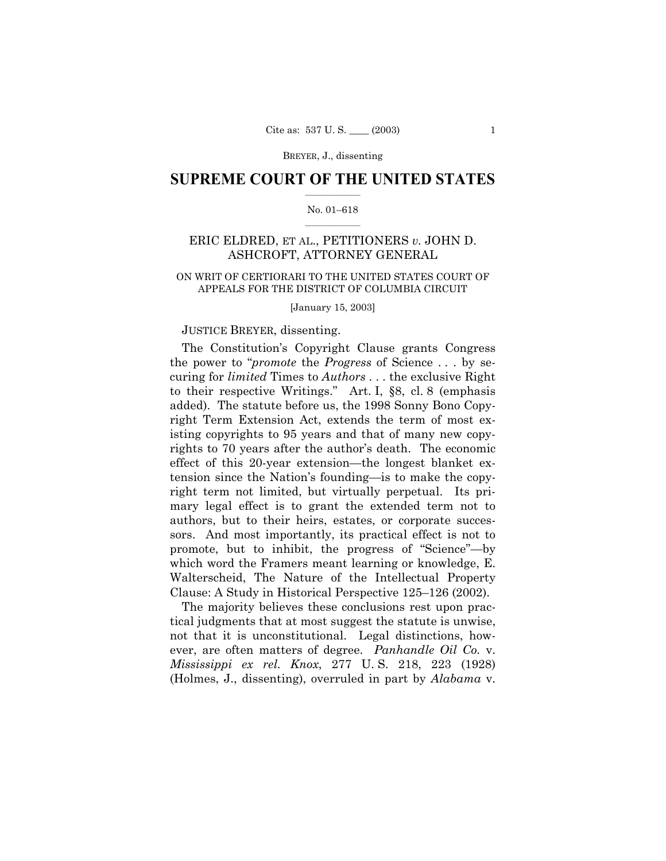# **SUPREME COURT OF THE UNITED STATES**

### No. 01-618

## ERIC ELDRED, ET AL., PETITIONERS  $v$ . JOHN D. ASHCROFT, ATTORNEY GENERAL

### ON WRIT OF CERTIORARI TO THE UNITED STATES COURT OF APPEALS FOR THE DISTRICT OF COLUMBIA CIRCUIT

**January 15, 2003** 

### **JUSTICE BREYER, dissenting.**

The Constitution's Copyright Clause grants Congress the power to "*promote* the *Progress* of Science ... by securing for *limited* Times to *Authors* . . . the exclusive Right to their respective Writings." Art. I, §8, cl. 8 (emphasis added). The statute before us, the 1998 Sonny Bono Copyright Term Extension Act, extends the term of most existing copyrights to 95 years and that of many new copyrights to 70 years after the author's death. The economic effect of this 20-year extension—the longest blanket extension since the Nation's founding—is to make the copyright term not limited, but virtually perpetual. Its primary legal effect is to grant the extended term not to authors, but to their heirs, estates, or corporate successors. And most importantly, its practical effect is not to promote, but to inhibit, the progress of "Science"-by which word the Framers meant learning or knowledge, E. Walterscheid, The Nature of the Intellectual Property Clause: A Study in Historical Perspective 125–126 (2002).

The majority believes these conclusions rest upon practical judgments that at most suggest the statute is unwise, not that it is unconstitutional. Legal distinctions, however, are often matters of degree. Panhandle Oil Co. v. Mississippi ex rel. Knox, 277 U.S. 218, 223 (1928) (Holmes, J., dissenting), overruled in part by Alabama v.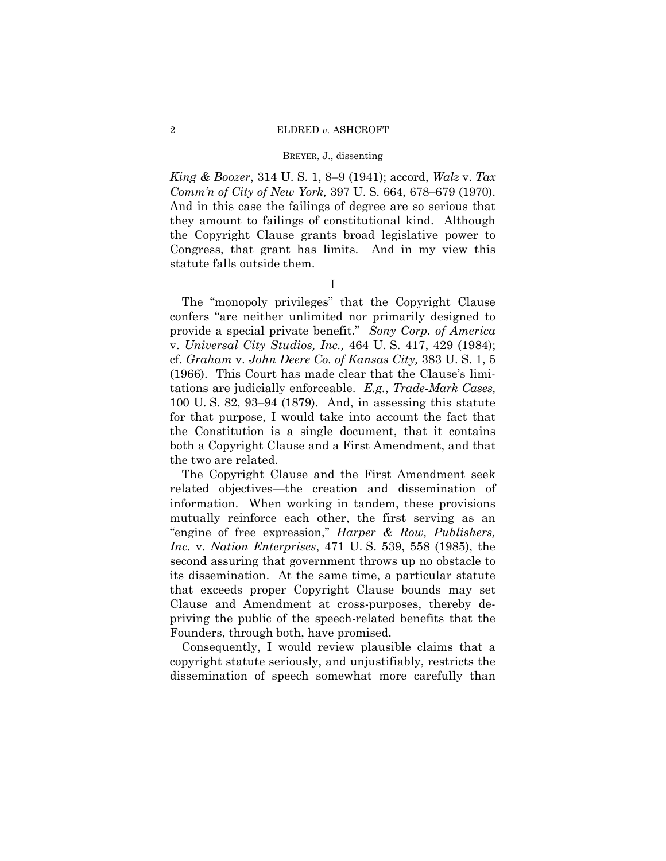*King & Boozer*, 314 U. S. 1, 8–9 (1941); accord, *Walz* v. *Tax Comm'n of City of New York,* 397 U.S. 664, 678–679 (1970). And in this case the failings of degree are so serious that they amount to failings of constitutional kind. Although the Copyright Clause grants broad legislative power to Congress, that grant has limits. And in my view this statute falls outside them.

I

The "monopoly privileges" that the Copyright Clause confers "are neither unlimited nor primarily designed to provide a special private benefit.î *Sony Corp. of America* v. *Universal City Studios, Inc.,* 464 U. S. 417, 429 (1984); cf. *Graham* v. *John Deere Co. of Kansas City,* 383 U. S. 1, 5 (1966). This Court has made clear that the Clause's limitations are judicially enforceable. *E.g.*, *Trade-Mark Cases,* 100 U.S. 82, 93–94 (1879). And, in assessing this statute for that purpose, I would take into account the fact that the Constitution is a single document, that it contains both a Copyright Clause and a First Amendment, and that the two are related.

The Copyright Clause and the First Amendment seek related objectives—the creation and dissemination of information. When working in tandem, these provisions mutually reinforce each other, the first serving as an ìengine of free expression,î *Harper & Row, Publishers, Inc.* v. *Nation Enterprises*, 471 U. S. 539, 558 (1985), the second assuring that government throws up no obstacle to its dissemination. At the same time, a particular statute that exceeds proper Copyright Clause bounds may set Clause and Amendment at cross-purposes, thereby depriving the public of the speech-related benefits that the Founders, through both, have promised.

Consequently, I would review plausible claims that a copyright statute seriously, and unjustifiably, restricts the dissemination of speech somewhat more carefully than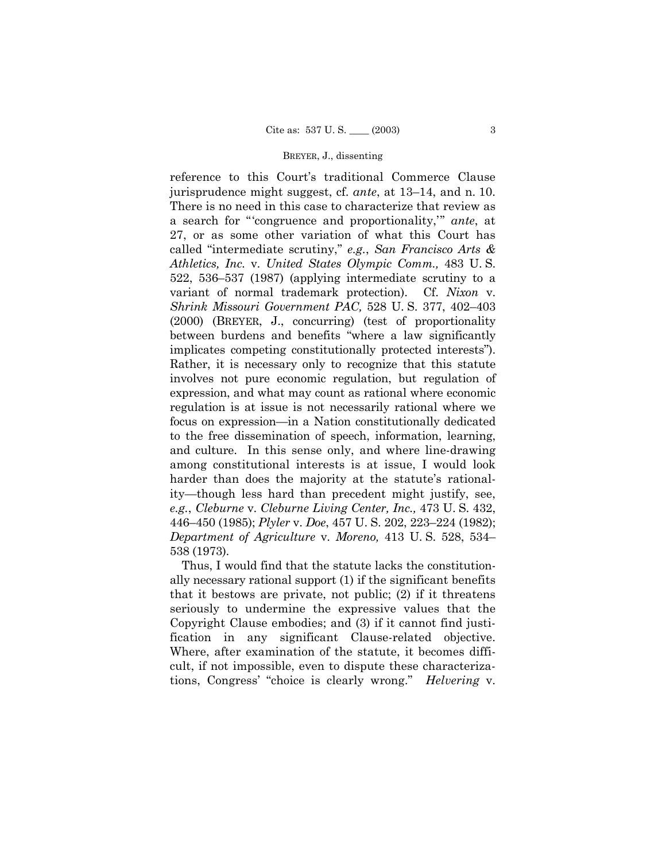reference to this Court's traditional Commerce Clause jurisprudence might suggest, cf. ante, at 13-14, and n. 10. There is no need in this case to characterize that review as a search for "congruence and proportionality," *ante*, at 27, or as some other variation of what this Court has called "intermediate scrutiny," *e.g.*, *San Francisco Arts & Athletics, Inc.* v. *United States Olympic Comm.,* 483 U. S. 522, 536–537 (1987) (applying intermediate scrutiny to a variant of normal trademark protection). Cf. *Nixon* v. *Shrink Missouri Government PAC, 528 U.S. 377, 402–403* (2000) (BREYER, J., concurring) (test of proportionality between burdens and benefits "where a law significantly implicates competing constitutionally protected interests". Rather, it is necessary only to recognize that this statute involves not pure economic regulation, but regulation of expression, and what may count as rational where economic regulation is at issue is not necessarily rational where we focus on expression—in a Nation constitutionally dedicated to the free dissemination of speech, information, learning, and culture. In this sense only, and where line-drawing among constitutional interests is at issue, I would look harder than does the majority at the statute's rationality—though less hard than precedent might justify, see, *e.g.*, *Cleburne* v. *Cleburne Living Center, Inc.,* 473 U. S. 432, 446–450 (1985); *Plyler* v. *Doe*, 457 U. S. 202, 223–224 (1982); *Department of Agriculture v. Moreno,* 413 U.S. 528, 534-538 (1973).

Thus, I would find that the statute lacks the constitutionally necessary rational support (1) if the significant benefits that it bestows are private, not public; (2) if it threatens seriously to undermine the expressive values that the Copyright Clause embodies; and (3) if it cannot find justification in any significant Clause-related objective. Where, after examination of the statute, it becomes difficult, if not impossible, even to dispute these characterizations, Congress' "choice is clearly wrong." *Helvering* v.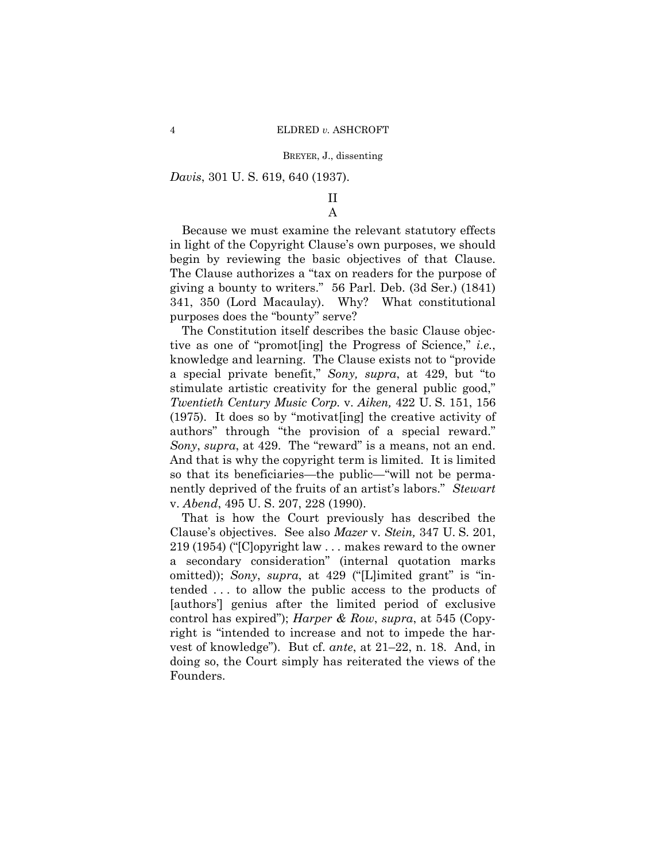*Davis*, 301 U.S. 619, 640 (1937).

### $\rm II$ A

Because we must examine the relevant statutory effects in light of the Copyright Clause's own purposes, we should begin by reviewing the basic objectives of that Clause. The Clause authorizes a "tax on readers for the purpose of giving a bounty to writers." 56 Parl. Deb. (3d Ser.) (1841) 341, 350 (Lord Macaulay). Why? What constitutional purposes does the "bounty" serve?

The Constitution itself describes the basic Clause objective as one of "promot[ing] the Progress of Science," *i.e.*, knowledge and learning. The Clause exists not to "provide" a special private benefit," Sony, supra, at 429, but "to stimulate artistic creativity for the general public good," Twentieth Century Music Corp. v. Aiken, 422 U.S. 151, 156  $(1975)$ . It does so by "motivatering" the creative activity of authors" through "the provision of a special reward." Sony, supra, at 429. The "reward" is a means, not an end. And that is why the copyright term is limited. It is limited so that its beneficiaries—the public—"will not be permanently deprived of the fruits of an artist's labors." Stewart v. Abend, 495 U.S. 207, 228 (1990).

That is how the Court previously has described the Clause's objectives. See also *Mazer* v. *Stein*, 347 U.S. 201, 219 (1954) ("[C]opyright law ... makes reward to the owner a secondary consideration" (internal quotation marks omitted); Sony, supra, at 429 ("[L]imited grant" is "intended ... to allow the public access to the products of [authors] genius after the limited period of exclusive control has expired"); *Harper & Row*, *supra*, at 545 (Copyright is "intended to increase and not to impede the harvest of knowledge"). But cf. ante, at 21–22, n. 18. And, in doing so, the Court simply has reiterated the views of the Founders.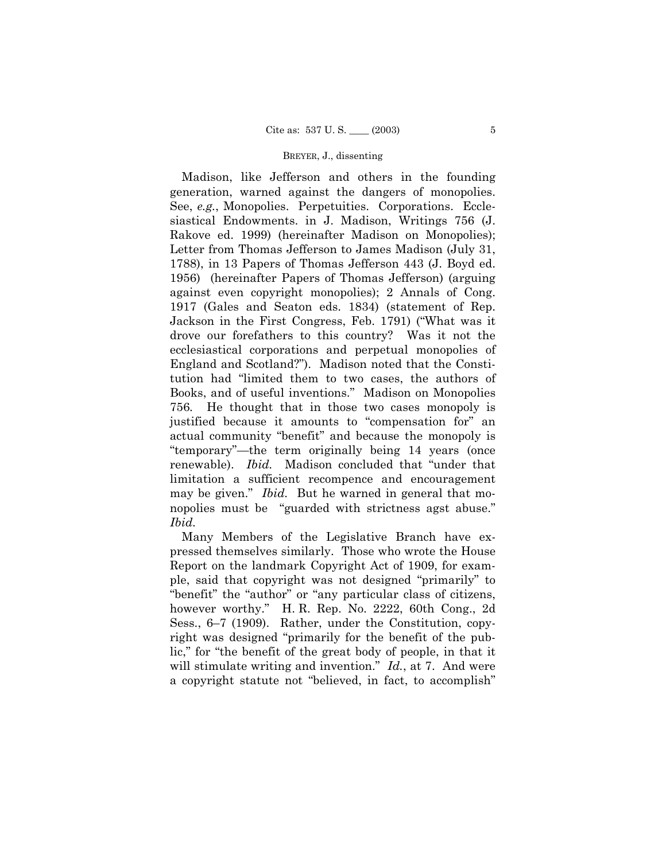Madison, like Jefferson and others in the founding generation, warned against the dangers of monopolies. See, e.g., Monopolies. Perpetuities. Corporations. Ecclesiastical Endowments. in J. Madison, Writings 756 (J. Rakove ed. 1999) (hereinafter Madison on Monopolies); Letter from Thomas Jefferson to James Madison (July 31, 1788), in 13 Papers of Thomas Jefferson 443 (J. Boyd ed. 1956) (hereinafter Papers of Thomas Jefferson) (arguing against even copyright monopolies); 2 Annals of Cong. 1917 (Gales and Seaton eds. 1834) (statement of Rep. Jackson in the First Congress, Feb. 1791) ("What was it drove our forefathers to this country? Was it not the ecclesiastical corporations and perpetual monopolies of England and Scotland?"). Madison noted that the Constitution had "limited them to two cases, the authors of Books, and of useful inventions." Madison on Monopolies He thought that in those two cases monopoly is 756. justified because it amounts to "compensation for" an actual community "benefit" and because the monopoly is "temporary"—the term originally being 14 years (once renewable). *Ibid*. Madison concluded that "under that limitation a sufficient recompence and encouragement may be given." *Ibid*. But he warned in general that monopolies must be "guarded with strictness agst abuse." Ibid.

Many Members of the Legislative Branch have expressed themselves similarly. Those who wrote the House Report on the landmark Copyright Act of 1909, for example, said that copyright was not designed "primarily" to "benefit" the "author" or "any particular class of citizens, however worthy." H.R. Rep. No. 2222, 60th Cong., 2d Sess., 6–7 (1909). Rather, under the Constitution, copyright was designed "primarily for the benefit of the public," for "the benefit of the great body of people, in that it will stimulate writing and invention." Id., at 7. And were a copyright statute not "believed, in fact, to accomplish"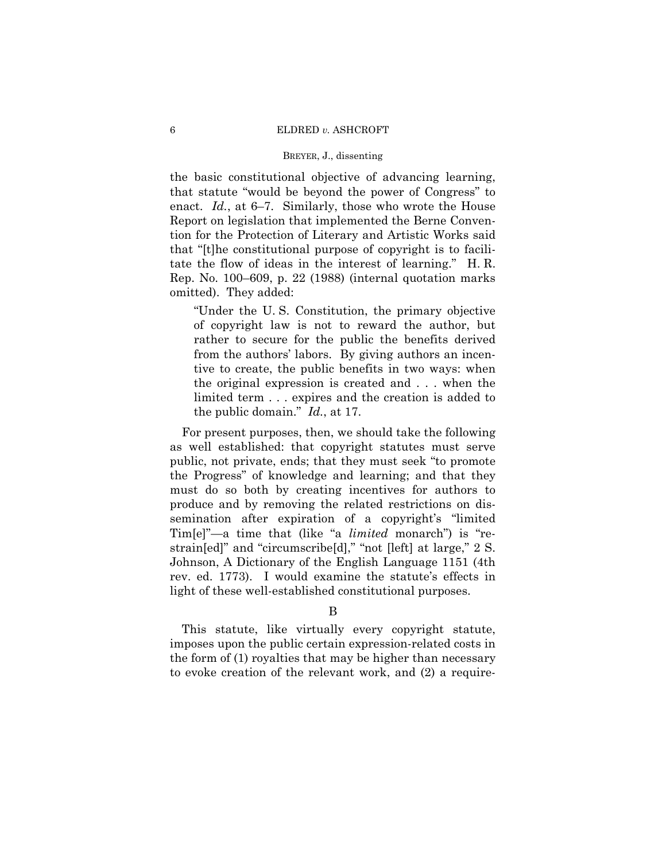the basic constitutional objective of advancing learning, that statute "would be beyond the power of Congress" to enact. Id., at 6–7. Similarly, those who wrote the House Report on legislation that implemented the Berne Convention for the Protection of Literary and Artistic Works said that "[t] he constitutional purpose of copyright is to facilitate the flow of ideas in the interest of learning." H.R. Rep. No.  $100-609$ , p.  $22$  (1988) (internal quotation marks omitted). They added:

"Under the U.S. Constitution, the primary objective of copyright law is not to reward the author, but rather to secure for the public the benefits derived from the authors' labors. By giving authors an incentive to create, the public benefits in two ways: when the original expression is created and . . . when the limited term . . . expires and the creation is added to the public domain."  $Id.$ , at 17.

For present purposes, then, we should take the following as well established: that copyright statutes must serve public, not private, ends; that they must seek "to promote the Progress" of knowledge and learning; and that they must do so both by creating incentives for authors to produce and by removing the related restrictions on dissemination after expiration of a copyright's "limited Tim[e]"-a time that (like "a *limited* monarch") is "restrain[ed]" and "circumscribe[d]," "not [left] at large," 2 S. Johnson, A Dictionary of the English Language 1151 (4th rev. ed. 1773). I would examine the statute's effects in light of these well-established constitutional purposes.

This statute, like virtually every copyright statute, imposes upon the public certain expression-related costs in the form of (1) royalties that may be higher than necessary to evoke creation of the relevant work, and (2) a require-

B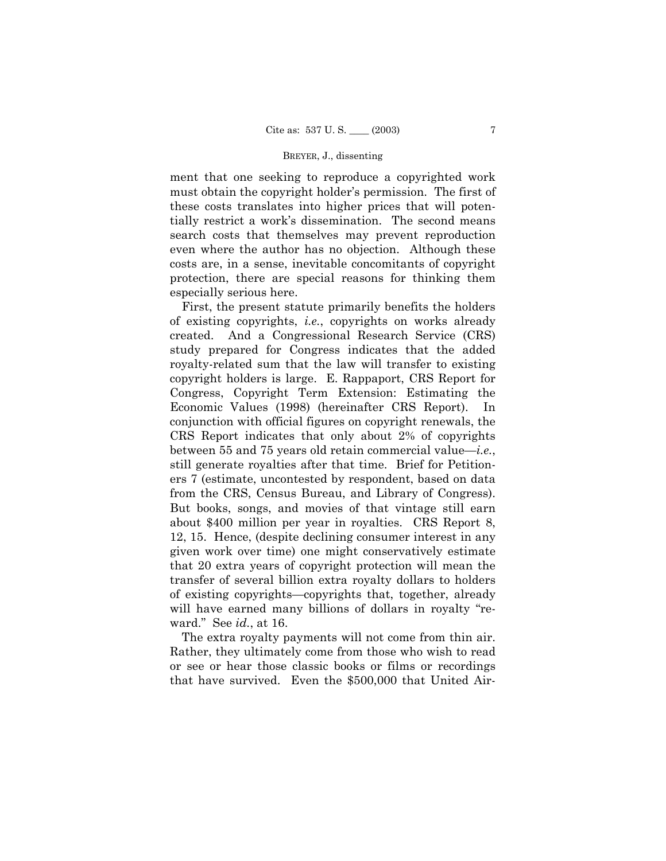ment that one seeking to reproduce a copyrighted work must obtain the copyright holder's permission. The first of these costs translates into higher prices that will potentially restrict a work's dissemination. The second means search costs that themselves may prevent reproduction even where the author has no objection. Although these costs are, in a sense, inevitable concomitants of copyright protection, there are special reasons for thinking them especially serious here.

First, the present statute primarily benefits the holders of existing copyrights, *i.e.*, copyrights on works already created. And a Congressional Research Service (CRS) study prepared for Congress indicates that the added royalty-related sum that the law will transfer to existing copyright holders is large. E. Rappaport, CRS Report for Congress, Copyright Term Extension: Estimating the Economic Values (1998) (hereinafter CRS Report). In conjunction with official figures on copyright renewals, the CRS Report indicates that only about 2% of copyrights between 55 and 75 years old retain commercial value—*i.e.*, still generate royalties after that time. Brief for Petitioners 7 (estimate, uncontested by respondent, based on data from the CRS, Census Bureau, and Library of Congress). But books, songs, and movies of that vintage still earn about \$400 million per year in royalties. CRS Report 8, 12, 15. Hence, (despite declining consumer interest in any given work over time) one might conservatively estimate that 20 extra years of copyright protection will mean the transfer of several billion extra royalty dollars to holders of existing copyrights—copyrights that, together, already will have earned many billions of dollars in royalty "reward.î See *id.*, at 16.

The extra royalty payments will not come from thin air. Rather, they ultimately come from those who wish to read or see or hear those classic books or films or recordings that have survived. Even the \$500,000 that United Air-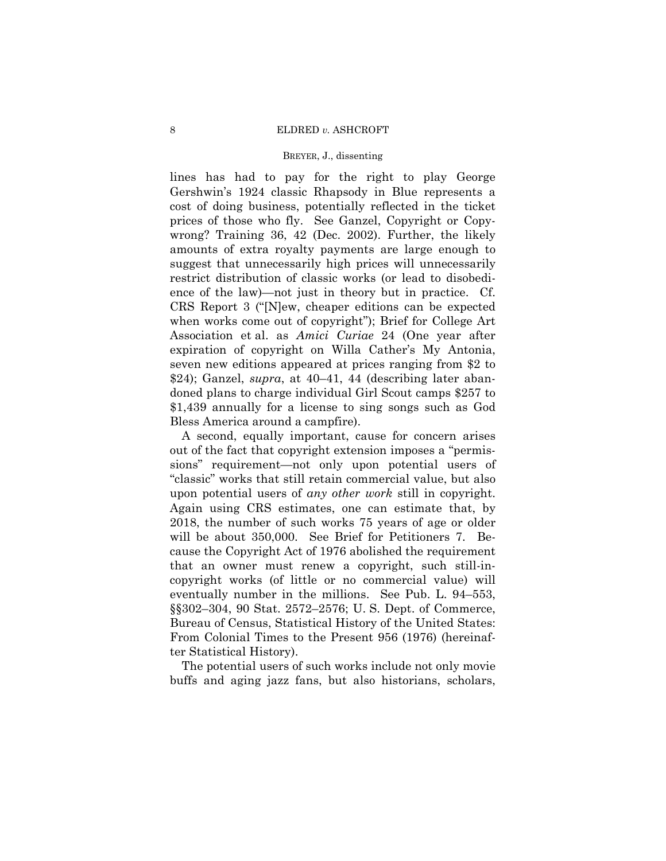#### 8 ELDRED *v.* ASHCROFT

#### BREYER, J., dissenting

lines has had to pay for the right to play George Gershwinís 1924 classic Rhapsody in Blue represents a cost of doing business, potentially reflected in the ticket prices of those who fly. See Ganzel, Copyright or Copywrong? Training 36, 42 (Dec. 2002). Further, the likely amounts of extra royalty payments are large enough to suggest that unnecessarily high prices will unnecessarily restrict distribution of classic works (or lead to disobedience of the law)—not just in theory but in practice. Cf.  $CRS$  Report 3 ("[N]ew, cheaper editions can be expected when works come out of copyright"); Brief for College Art Association et al. as *Amici Curiae* 24 (One year after expiration of copyright on Willa Cather's My Antonia, seven new editions appeared at prices ranging from \$2 to \$24); Ganzel, *supra*, at  $40-41$ ,  $44$  (describing later abandoned plans to charge individual Girl Scout camps \$257 to \$1,439 annually for a license to sing songs such as God Bless America around a campfire).

A second, equally important, cause for concern arises out of the fact that copyright extension imposes a "permissions" requirement—not only upon potential users of ìclassicî works that still retain commercial value, but also upon potential users of *any other work* still in copyright. Again using CRS estimates, one can estimate that, by 2018, the number of such works 75 years of age or older will be about 350,000. See Brief for Petitioners 7. Because the Copyright Act of 1976 abolished the requirement that an owner must renew a copyright, such still-incopyright works (of little or no commercial value) will eventually number in the millions. See Pub. L. 94–553, §§302-304, 90 Stat. 2572-2576; U. S. Dept. of Commerce, Bureau of Census, Statistical History of the United States: From Colonial Times to the Present 956 (1976) (hereinafter Statistical History).

The potential users of such works include not only movie buffs and aging jazz fans, but also historians, scholars,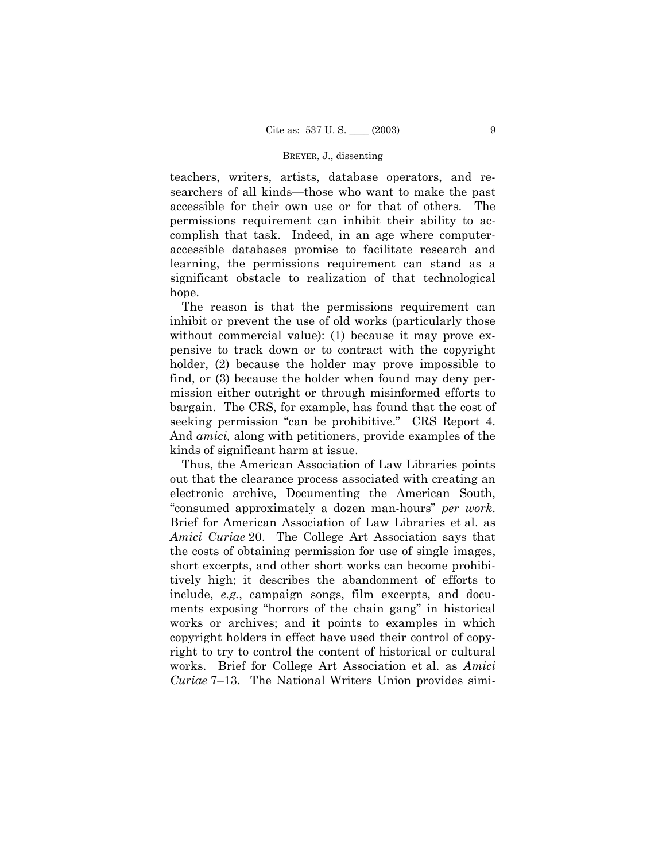teachers, writers, artists, database operators, and researchers of all kinds—those who want to make the past accessible for their own use or for that of others. The permissions requirement can inhibit their ability to accomplish that task. Indeed, in an age where computeraccessible databases promise to facilitate research and learning, the permissions requirement can stand as a significant obstacle to realization of that technological hope.

 The reason is that the permissions requirement can inhibit or prevent the use of old works (particularly those without commercial value): (1) because it may prove expensive to track down or to contract with the copyright holder, (2) because the holder may prove impossible to find, or (3) because the holder when found may deny permission either outright or through misinformed efforts to bargain. The CRS, for example, has found that the cost of seeking permission "can be prohibitive." CRS Report 4. And *amici,* along with petitioners, provide examples of the kinds of significant harm at issue.

Thus, the American Association of Law Libraries points out that the clearance process associated with creating an electronic archive, Documenting the American South, ìconsumed approximately a dozen man-hoursî *per work*. Brief for American Association of Law Libraries et al. as *Amici Curiae* 20. The College Art Association says that the costs of obtaining permission for use of single images, short excerpts, and other short works can become prohibitively high; it describes the abandonment of efforts to include, *e.g.*, campaign songs, film excerpts, and documents exposing "horrors of the chain gang" in historical works or archives; and it points to examples in which copyright holders in effect have used their control of copyright to try to control the content of historical or cultural works. Brief for College Art Association et al. as *Amici Curiae* 7–13. The National Writers Union provides simi-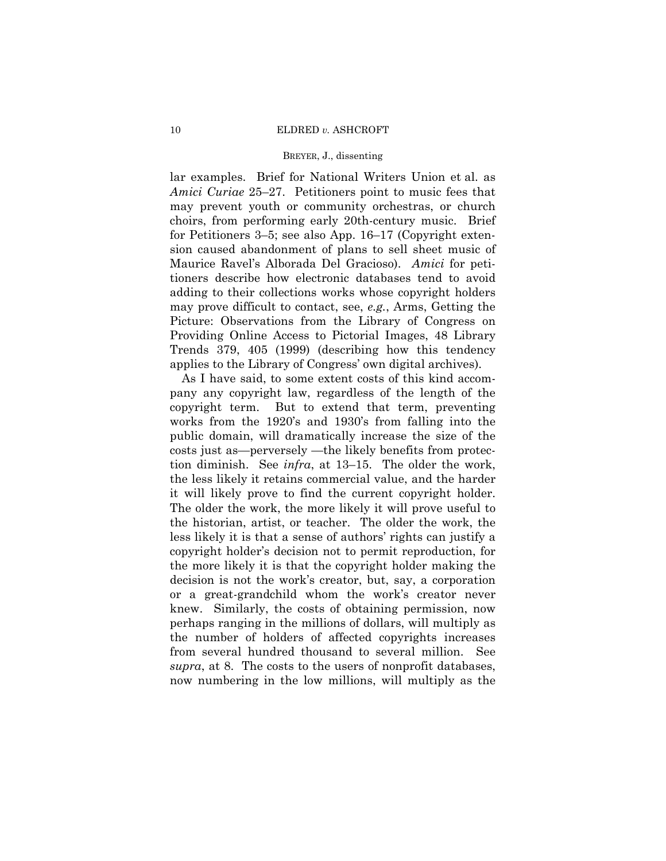lar examples. Brief for National Writers Union et al. as *Amici Curiae* 25–27. Petitioners point to music fees that may prevent youth or community orchestras, or church choirs, from performing early 20th-century music. Brief for Petitioners 3–5; see also App. 16–17 (Copyright extension caused abandonment of plans to sell sheet music of Maurice Ravelís Alborada Del Gracioso). *Amici* for petitioners describe how electronic databases tend to avoid adding to their collections works whose copyright holders may prove difficult to contact, see, *e.g.*, Arms, Getting the Picture: Observations from the Library of Congress on Providing Online Access to Pictorial Images, 48 Library Trends 379, 405 (1999) (describing how this tendency applies to the Library of Congress' own digital archives).

As I have said, to some extent costs of this kind accompany any copyright law, regardless of the length of the copyright term. But to extend that term, preventing works from the 1920's and 1930's from falling into the public domain, will dramatically increase the size of the costs just as—perversely —the likely benefits from protection diminish. See *infra*, at 13–15. The older the work, the less likely it retains commercial value, and the harder it will likely prove to find the current copyright holder. The older the work, the more likely it will prove useful to the historian, artist, or teacher. The older the work, the less likely it is that a sense of authors' rights can justify a copyright holderís decision not to permit reproduction, for the more likely it is that the copyright holder making the decision is not the work's creator, but, say, a corporation or a great-grandchild whom the work's creator never knew. Similarly, the costs of obtaining permission, now perhaps ranging in the millions of dollars, will multiply as the number of holders of affected copyrights increases from several hundred thousand to several million. See *supra*, at 8. The costs to the users of nonprofit databases, now numbering in the low millions, will multiply as the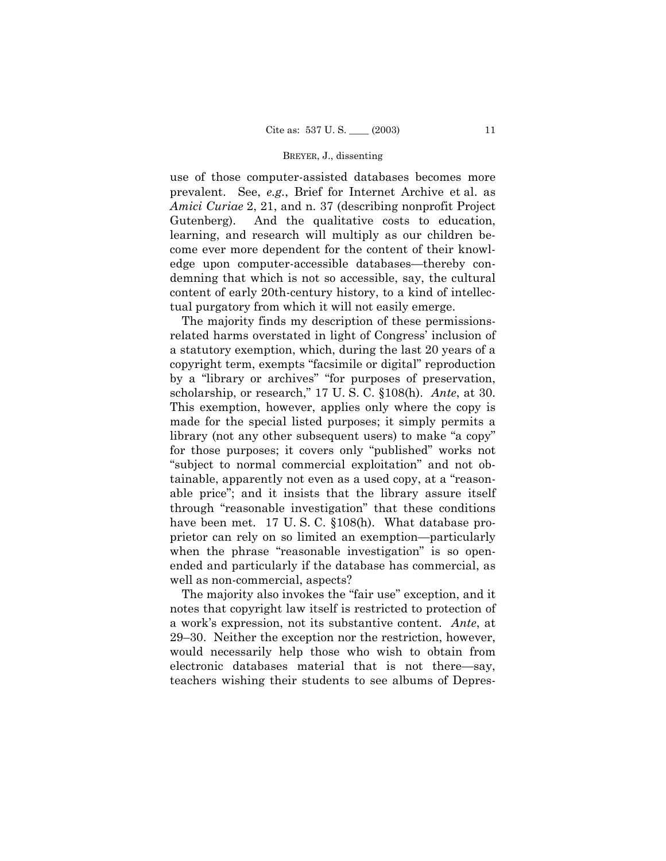use of those computer-assisted databases becomes more prevalent. See, *e.g.*, Brief for Internet Archive et al. as *Amici Curiae* 2, 21, and n. 37 (describing nonprofit Project Gutenberg). And the qualitative costs to education, learning, and research will multiply as our children become ever more dependent for the content of their knowledge upon computer-accessible databases—thereby condemning that which is not so accessible, say, the cultural content of early 20th-century history, to a kind of intellectual purgatory from which it will not easily emerge.

The majority finds my description of these permissionsrelated harms overstated in light of Congress' inclusion of a statutory exemption, which, during the last 20 years of a copyright term, exempts "facsimile or digital" reproduction by a "library or archives" "for purposes of preservation, scholarship, or research,î 17 U. S. C. ß108(h). *Ante*, at 30. This exemption, however, applies only where the copy is made for the special listed purposes; it simply permits a library (not any other subsequent users) to make "a copy" for those purposes; it covers only "published" works not "subject to normal commercial exploitation" and not obtainable, apparently not even as a used copy, at a "reasonable price"; and it insists that the library assure itself through "reasonable investigation" that these conditions have been met. 17 U.S.C. §108(h). What database proprietor can rely on so limited an exemption—particularly when the phrase "reasonable investigation" is so openended and particularly if the database has commercial, as well as non-commercial, aspects?

The majority also invokes the "fair use" exception, and it notes that copyright law itself is restricted to protection of a workís expression, not its substantive content. *Ante*, at  $29-30$ . Neither the exception nor the restriction, however, would necessarily help those who wish to obtain from electronic databases material that is not there—say, teachers wishing their students to see albums of Depres-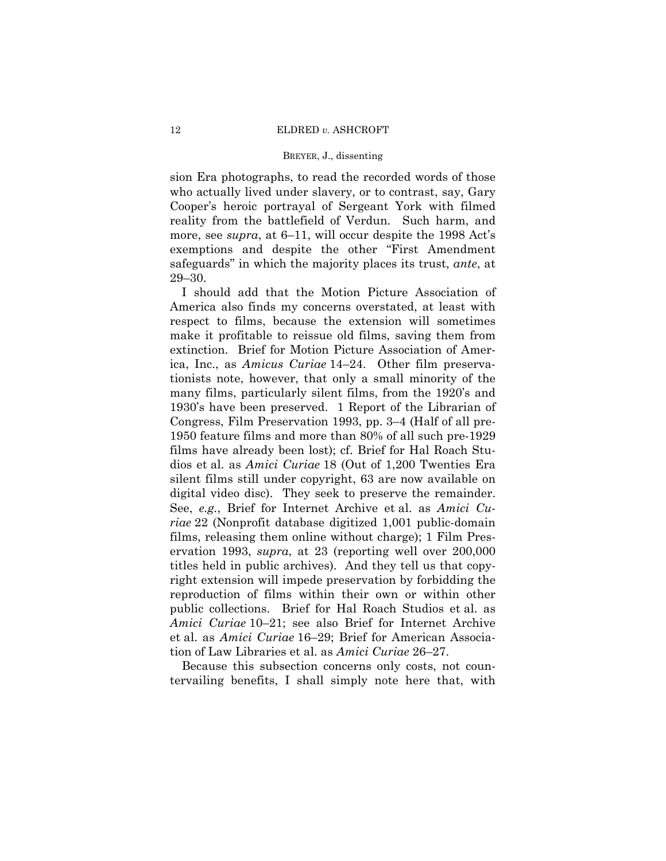sion Era photographs, to read the recorded words of those who actually lived under slavery, or to contrast, say, Gary Cooperís heroic portrayal of Sergeant York with filmed reality from the battlefield of Verdun. Such harm, and more, see *supra*, at 6–11, will occur despite the 1998 Act's exemptions and despite the other "First Amendment" safeguardsî in which the majority places its trust, *ante*, at  $29 - 30.$ 

I should add that the Motion Picture Association of America also finds my concerns overstated, at least with respect to films, because the extension will sometimes make it profitable to reissue old films, saving them from extinction. Brief for Motion Picture Association of America, Inc., as *Amicus Curiae* 14–24. Other film preservationists note, however, that only a small minority of the many films, particularly silent films, from the 1920's and 1930ís have been preserved. 1 Report of the Librarian of Congress, Film Preservation 1993, pp. 3–4 (Half of all pre-1950 feature films and more than 80% of all such pre-1929 films have already been lost); cf. Brief for Hal Roach Studios et al. as *Amici Curiae* 18 (Out of 1,200 Twenties Era silent films still under copyright, 63 are now available on digital video disc). They seek to preserve the remainder. See, *e.g.*, Brief for Internet Archive et al. as *Amici Curiae* 22 (Nonprofit database digitized 1,001 public-domain films, releasing them online without charge); 1 Film Preservation 1993, *supra*, at 23 (reporting well over 200,000 titles held in public archives). And they tell us that copyright extension will impede preservation by forbidding the reproduction of films within their own or within other public collections. Brief for Hal Roach Studios et al. as *Amici Curiae* 10–21; see also Brief for Internet Archive et al. as *Amici Curiae* 16–29; Brief for American Association of Law Libraries et al. as *Amici Curiae* 26-27.

Because this subsection concerns only costs, not countervailing benefits, I shall simply note here that, with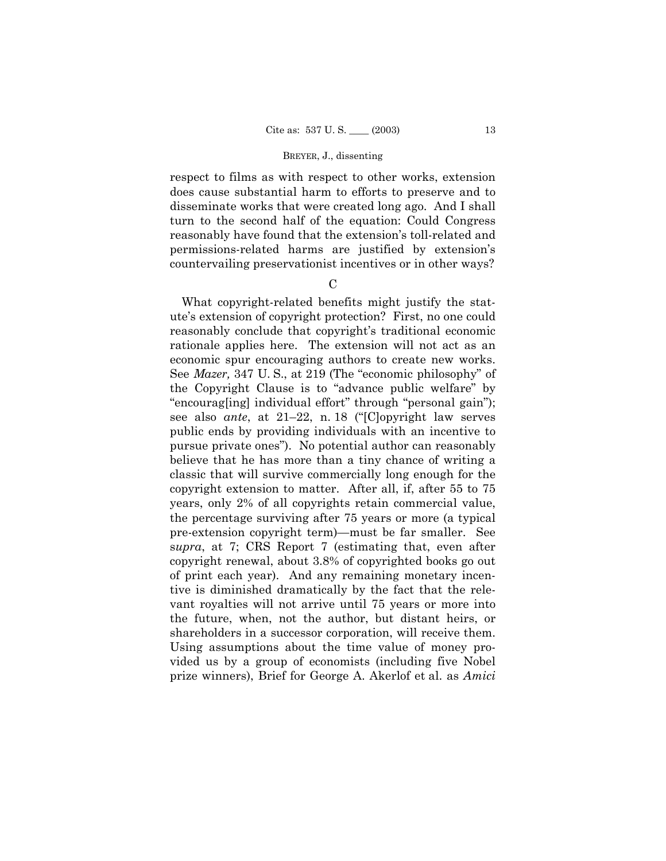respect to films as with respect to other works, extension does cause substantial harm to efforts to preserve and to disseminate works that were created long ago. And I shall turn to the second half of the equation: Could Congress reasonably have found that the extension's toll-related and permissions-related harms are justified by extension's countervailing preservationist incentives or in other ways?

 $\mathcal{C}$ 

What copyright-related benefits might justify the statute's extension of copyright protection? First, no one could reasonably conclude that copyright's traditional economic rationale applies here. The extension will not act as an economic spur encouraging authors to create new works. See *Mazer*, 347 U.S., at 219 (The "economic philosophy" of the Copyright Clause is to "advance public welfare" by "encourag[ing] individual effort" through "personal gain"); see also *ante*, at 21–22, n. 18 ("[C]opyright law serves public ends by providing individuals with an incentive to pursue private ones"). No potential author can reasonably believe that he has more than a tiny chance of writing a classic that will survive commercially long enough for the copyright extension to matter. After all, if, after 55 to 75 years, only 2% of all copyrights retain commercial value, the percentage surviving after 75 years or more (a typical pre-extension copyright term)—must be far smaller. See s*upra*, at 7; CRS Report 7 (estimating that, even after copyright renewal, about 3.8% of copyrighted books go out of print each year). And any remaining monetary incentive is diminished dramatically by the fact that the relevant royalties will not arrive until 75 years or more into the future, when, not the author, but distant heirs, or shareholders in a successor corporation, will receive them. Using assumptions about the time value of money provided us by a group of economists (including five Nobel prize winners), Brief for George A. Akerlof et al. as *Amici*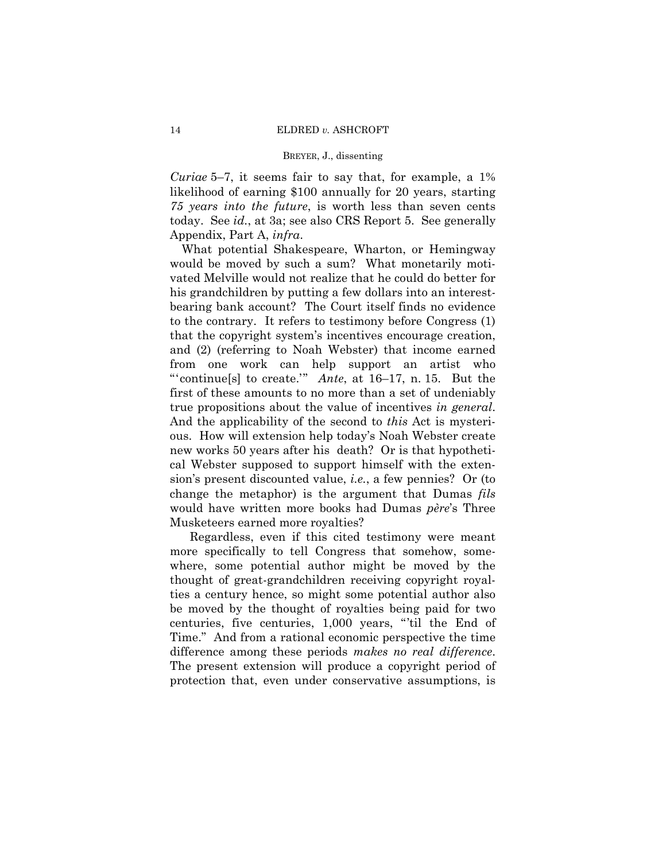*Curiae* 5–7, it seems fair to say that, for example, a 1% likelihood of earning \$100 annually for 20 years, starting 75 years into the future, is worth less than seven cents today. See id., at 3a; see also CRS Report 5. See generally Appendix, Part A, *infra*.

What potential Shakespeare, Wharton, or Hemingway would be moved by such a sum? What monetarily motivated Melville would not realize that he could do better for his grandchildren by putting a few dollars into an interestbearing bank account? The Court itself finds no evidence to the contrary. It refers to testimony before Congress (1) that the copyright system's incentives encourage creation, and (2) (referring to Noah Webster) that income earned from one work can help support an artist who "'continue[s] to create." Ante, at 16-17, n. 15. But the first of these amounts to no more than a set of undeniably true propositions about the value of incentives in general. And the applicability of the second to *this* Act is mysterious. How will extension help today's Noah Webster create new works 50 years after his death? Or is that hypothetical Webster supposed to support himself with the extension's present discounted value, *i.e.*, a few pennies? Or (to change the metaphor) is the argument that Dumas fils would have written more books had Dumas pere's Three Musketeers earned more royalties?

Regardless, even if this cited testimony were meant more specifically to tell Congress that somehow, somewhere, some potential author might be moved by the thought of great-grandchildren receiving copyright royalties a century hence, so might some potential author also be moved by the thought of royalties being paid for two centuries, five centuries, 1,000 years, "'til the End of Time." And from a rational economic perspective the time difference among these periods makes no real difference. The present extension will produce a copyright period of protection that, even under conservative assumptions, is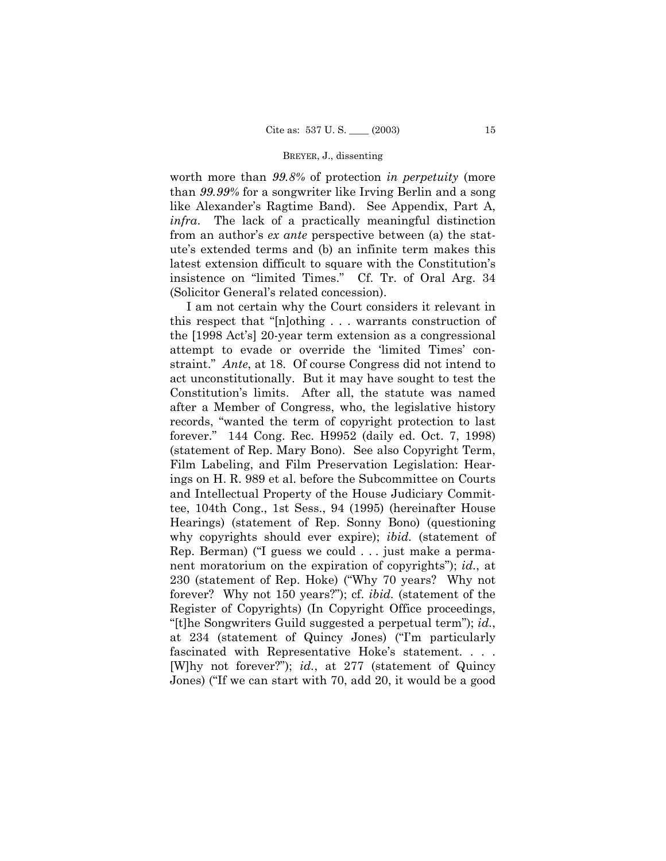worth more than 99.8% of protection in perpetuity (more than 99.99% for a songwriter like Irving Berlin and a song like Alexander's Ragtime Band). See Appendix, Part A, *infra*. The lack of a practically meaningful distinction from an author's *ex ante* perspective between (a) the statute's extended terms and (b) an infinite term makes this latest extension difficult to square with the Constitution's insistence on "limited Times." Cf. Tr. of Oral Arg. 34 (Solicitor General's related concession).

I am not certain why the Court considers it relevant in this respect that "[n]othing ... warrants construction of the [1998 Act's] 20-year term extension as a congressional attempt to evade or override the 'limited Times' constraint." Ante, at 18. Of course Congress did not intend to act unconstitutionally. But it may have sought to test the Constitution's limits. After all, the statute was named after a Member of Congress, who, the legislative history records, "wanted the term of copyright protection to last forever." 144 Cong. Rec. H9952 (daily ed. Oct. 7, 1998) (statement of Rep. Mary Bono). See also Copyright Term, Film Labeling, and Film Preservation Legislation: Hearings on H.R. 989 et al. before the Subcommittee on Courts and Intellectual Property of the House Judiciary Committee, 104th Cong., 1st Sess., 94 (1995) (hereinafter House Hearings) (statement of Rep. Sonny Bono) (questioning why copyrights should ever expire); *ibid.* (statement of Rep. Berman) ("I guess we could . . . just make a permanent moratorium on the expiration of copyrights"); id., at 230 (statement of Rep. Hoke) ("Why 70 years? Why not forever? Why not 150 years?"); cf. *ibid.* (statement of the Register of Copyrights) (In Copyright Office proceedings, "[t] he Songwriters Guild suggested a perpetual term"); id., at 234 (statement of Quincy Jones) (Tm particularly fascinated with Representative Hoke's statement.... [W]hy not forever?"); id., at 277 (statement of Quincy Jones) ("If we can start with 70, add 20, it would be a good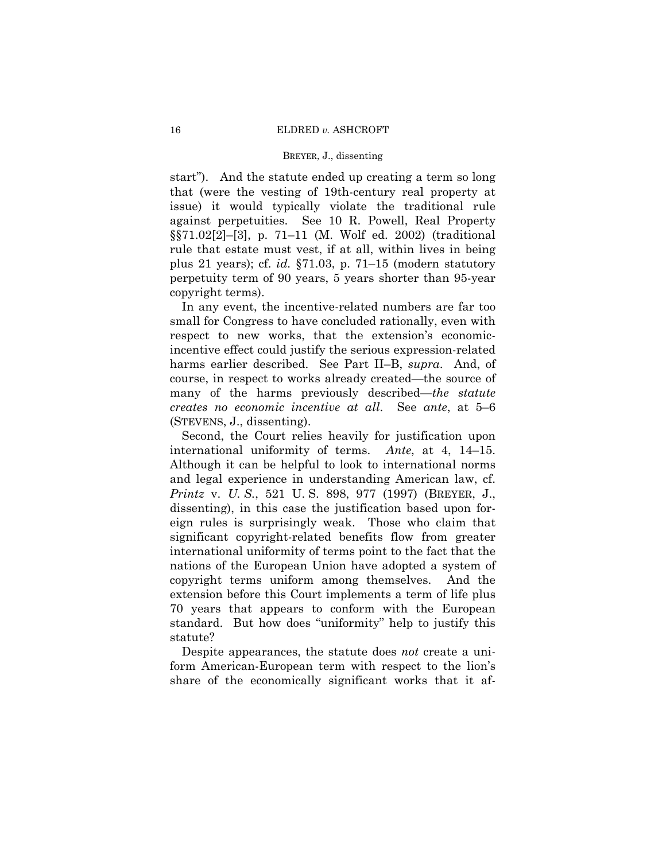start"). And the statute ended up creating a term so long that (were the vesting of 19th-century real property at issue) it would typically violate the traditional rule against perpetuities. See 10 R. Powell, Real Property  $\S$ [71.02[2]-[3], p. 71–11 (M. Wolf ed. 2002) (traditional rule that estate must vest, if at all, within lives in being plus 21 years); cf. *id.*  $\S71.03$ , p.  $71-15$  (modern statutory perpetuity term of 90 years, 5 years shorter than 95-year copyright terms).

In any event, the incentive-related numbers are far too small for Congress to have concluded rationally, even with respect to new works, that the extension's economicincentive effect could justify the serious expression-related harms earlier described. See Part II-B, *supra*. And, of course, in respect to works already created—the source of many of the harms previously described—the statute *creates no economic incentive at all.* See *ante*, at 5–6 (STEVENS, J., dissenting).

Second, the Court relies heavily for justification upon international uniformity of terms. *Ante*, at 4, 14–15. Although it can be helpful to look to international norms and legal experience in understanding American law, cf. *Printz* v. *U. S.*, 521 U. S. 898, 977 (1997) (BREYER, J., dissenting), in this case the justification based upon foreign rules is surprisingly weak. Those who claim that significant copyright-related benefits flow from greater international uniformity of terms point to the fact that the nations of the European Union have adopted a system of copyright terms uniform among themselves. And the extension before this Court implements a term of life plus 70 years that appears to conform with the European standard. But how does "uniformity" help to justify this statute?

Despite appearances, the statute does *not* create a uniform American-European term with respect to the lion's share of the economically significant works that it af-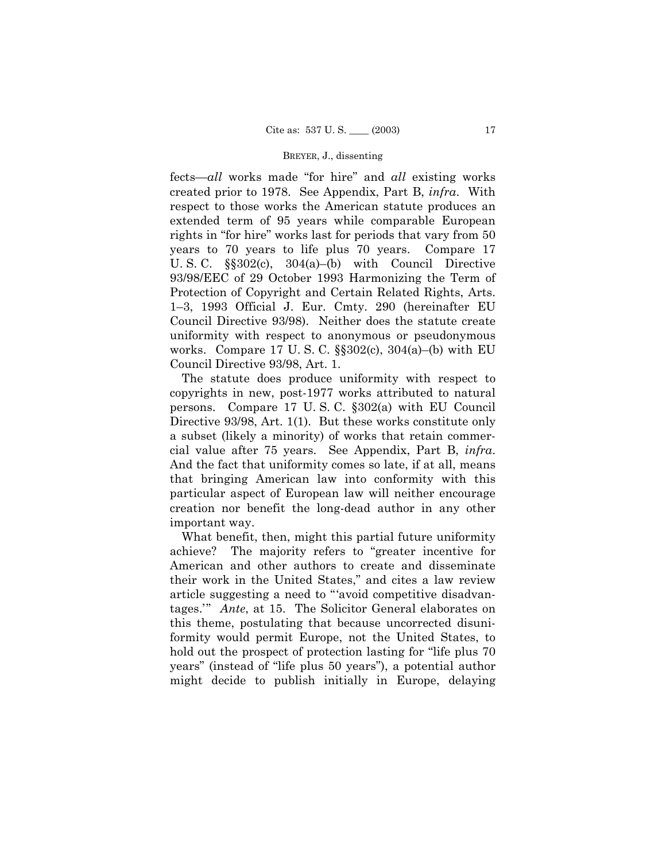fects—all works made "for hire" and all existing works created prior to 1978. See Appendix, Part B, *infra*. With respect to those works the American statute produces an extended term of 95 years while comparable European rights in "for hire" works last for periods that vary from 50 years to 70 years to life plus 70 years. Compare 17 U. S. C.  $\S$  $302(c)$ ,  $304(a)$ –(b) with Council Directive 93/98/EEC of 29 October 1993 Harmonizing the Term of Protection of Copyright and Certain Related Rights, Arts. 1–3, 1993 Official J. Eur. Cmty. 290 (hereinafter EU Council Directive 93/98). Neither does the statute create uniformity with respect to anonymous or pseudonymous works. Compare 17 U.S.C.  $\S$ \$302(c), 304(a)–(b) with EU Council Directive 93/98, Art. 1.

The statute does produce uniformity with respect to copyrights in new, post-1977 works attributed to natural persons. Compare 17 U. S. C. ß302(a) with EU Council Directive 93/98, Art. 1(1). But these works constitute only a subset (likely a minority) of works that retain commercial value after 75 years. See Appendix, Part B, *infra*. And the fact that uniformity comes so late, if at all, means that bringing American law into conformity with this particular aspect of European law will neither encourage creation nor benefit the long-dead author in any other important way.

What benefit, then, might this partial future uniformity achieve? The majority refers to "greater incentive for American and other authors to create and disseminate their work in the United States," and cites a law review article suggesting a need to "avoid competitive disadvantages.<sup>"</sup> Ante, at 15. The Solicitor General elaborates on this theme, postulating that because uncorrected disuniformity would permit Europe, not the United States, to hold out the prospect of protection lasting for "life plus 70" years" (instead of "life plus 50 years"), a potential author might decide to publish initially in Europe, delaying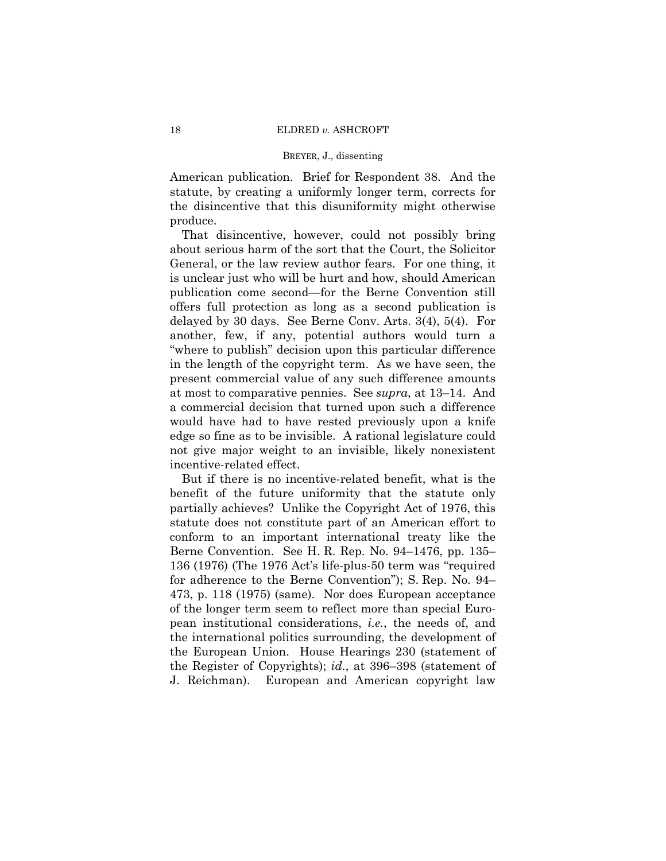American publication. Brief for Respondent 38. And the statute, by creating a uniformly longer term, corrects for the disincentive that this disuniformity might otherwise produce.

That disincentive, however, could not possibly bring about serious harm of the sort that the Court, the Solicitor General, or the law review author fears. For one thing, it is unclear just who will be hurt and how, should American publication come second—for the Berne Convention still offers full protection as long as a second publication is delayed by 30 days. See Berne Conv. Arts. 3(4), 5(4). For another, few, if any, potential authors would turn a "where to publish" decision upon this particular difference in the length of the copyright term. As we have seen, the present commercial value of any such difference amounts at most to comparative pennies. See *supra*, at 13–14. And a commercial decision that turned upon such a difference would have had to have rested previously upon a knife edge so fine as to be invisible. A rational legislature could not give major weight to an invisible, likely nonexistent incentive-related effect.

But if there is no incentive-related benefit, what is the benefit of the future uniformity that the statute only partially achieves? Unlike the Copyright Act of 1976, this statute does not constitute part of an American effort to conform to an important international treaty like the Berne Convention. See H. R. Rep. No.  $94-1476$ , pp. 135  $136$  (1976) (The 1976 Act's life-plus-50 term was "required for adherence to the Berne Convention"); S. Rep. No.  $94-$ 473, p. 118 (1975) (same). Nor does European acceptance of the longer term seem to reflect more than special European institutional considerations, *i.e.*, the needs of, and the international politics surrounding, the development of the European Union. House Hearings 230 (statement of the Register of Copyrights);  $id.$ , at 396–398 (statement of J. Reichman). European and American copyright law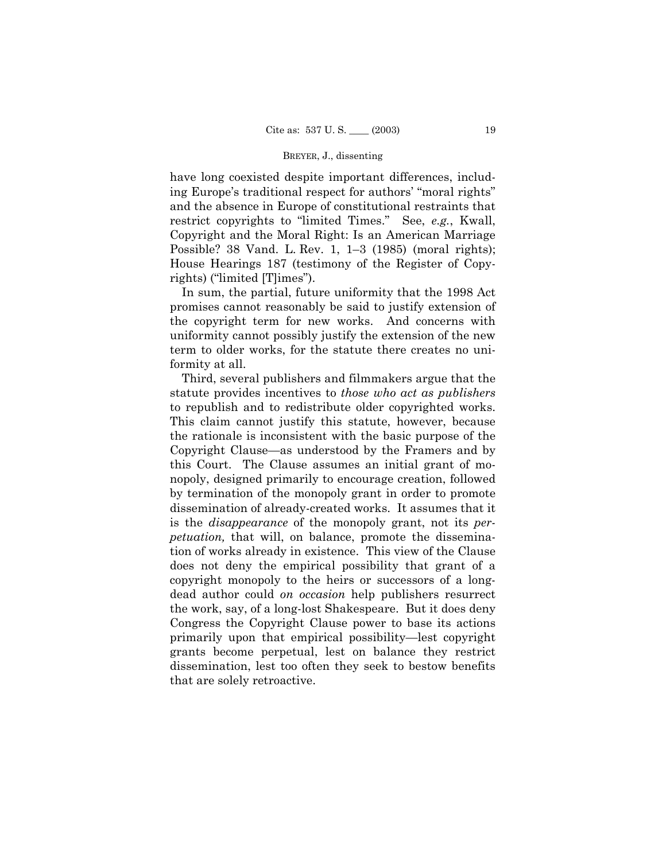have long coexisted despite important differences, including Europe's traditional respect for authors' "moral rights" and the absence in Europe of constitutional restraints that restrict copyrights to "limited Times." See, *e.g.*, Kwall, Copyright and the Moral Right: Is an American Marriage Possible? 38 Vand. L. Rev. 1,  $1-3$  (1985) (moral rights); House Hearings 187 (testimony of the Register of Copyrights) (" $l$ imited [T $l$ ]imes").

In sum, the partial, future uniformity that the 1998 Act promises cannot reasonably be said to justify extension of the copyright term for new works. And concerns with uniformity cannot possibly justify the extension of the new term to older works, for the statute there creates no uniformity at all.

Third, several publishers and filmmakers argue that the statute provides incentives to *those who act as publishers* to republish and to redistribute older copyrighted works. This claim cannot justify this statute, however, because the rationale is inconsistent with the basic purpose of the Copyright Clause—as understood by the Framers and by this Court. The Clause assumes an initial grant of monopoly, designed primarily to encourage creation, followed by termination of the monopoly grant in order to promote dissemination of already-created works. It assumes that it is the *disappearance* of the monopoly grant, not its *perpetuation,* that will, on balance, promote the dissemination of works already in existence. This view of the Clause does not deny the empirical possibility that grant of a copyright monopoly to the heirs or successors of a longdead author could *on occasion* help publishers resurrect the work, say, of a long-lost Shakespeare. But it does deny Congress the Copyright Clause power to base its actions primarily upon that empirical possibility—lest copyright grants become perpetual, lest on balance they restrict dissemination, lest too often they seek to bestow benefits that are solely retroactive.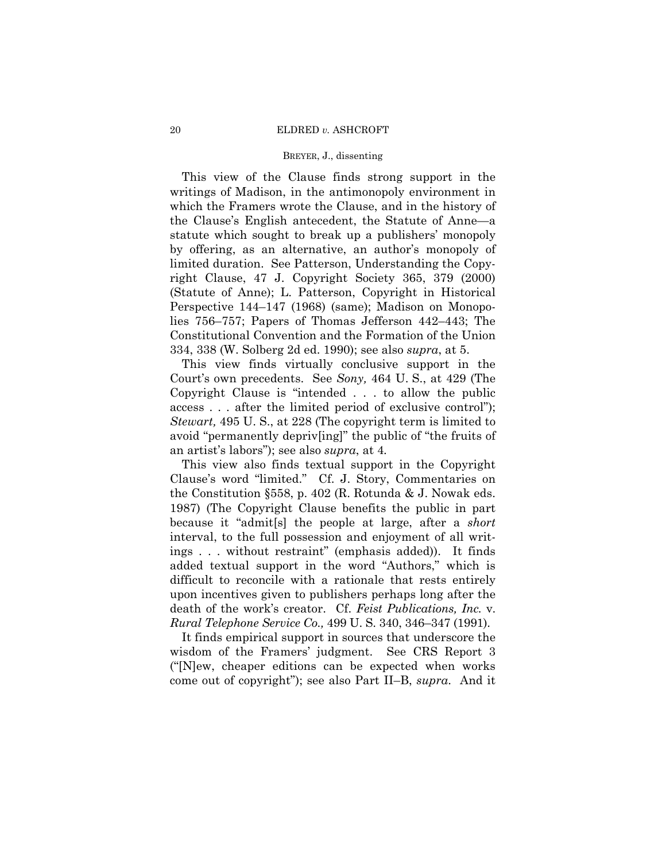#### ELDRED v. ASHCROFT

#### BREYER, J., dissenting

This view of the Clause finds strong support in the writings of Madison, in the antimonopoly environment in which the Framers wrote the Clause, and in the history of the Clause's English antecedent, the Statute of Anne—a statute which sought to break up a publishers' monopoly by offering, as an alternative, an author's monopoly of limited duration. See Patterson, Understanding the Copyright Clause, 47 J. Copyright Society 365, 379 (2000) (Statute of Anne); L. Patterson, Copyright in Historical Perspective 144–147 (1968) (same); Madison on Monopolies 756–757; Papers of Thomas Jefferson 442–443; The Constitutional Convention and the Formation of the Union 334, 338 (W. Solberg 2d ed. 1990); see also *supra*, at 5.

This view finds virtually conclusive support in the Court's own precedents. See Sony, 464 U.S., at 429 (The Copyright Clause is "intended . . . to allow the public  $access \dots$  after the limited period of exclusive control"); *Stewart*, 495 U.S., at 228 (The copyright term is limited to avoid "permanently depriveling" the public of "the fruits of an artist's labors"); see also *supra*, at 4.

This view also finds textual support in the Copyright Clause's word "limited." Cf. J. Story, Commentaries on the Constitution §558, p. 402 (R. Rotunda & J. Nowak eds. 1987) (The Copyright Clause benefits the public in part because it "admit[s] the people at large, after a short interval, to the full possession and enjoyment of all writings . . . without restraint" (emphasis added)). It finds added textual support in the word "Authors," which is difficult to reconcile with a rationale that rests entirely upon incentives given to publishers perhaps long after the death of the work's creator. Cf. Feist Publications, Inc. v. Rural Telephone Service Co., 499 U.S. 340, 346–347 (1991).

It finds empirical support in sources that underscore the wisdom of the Framers' judgment. See CRS Report 3 ("New, cheaper editions can be expected when works)" come out of copyright"); see also Part II-B, supra. And it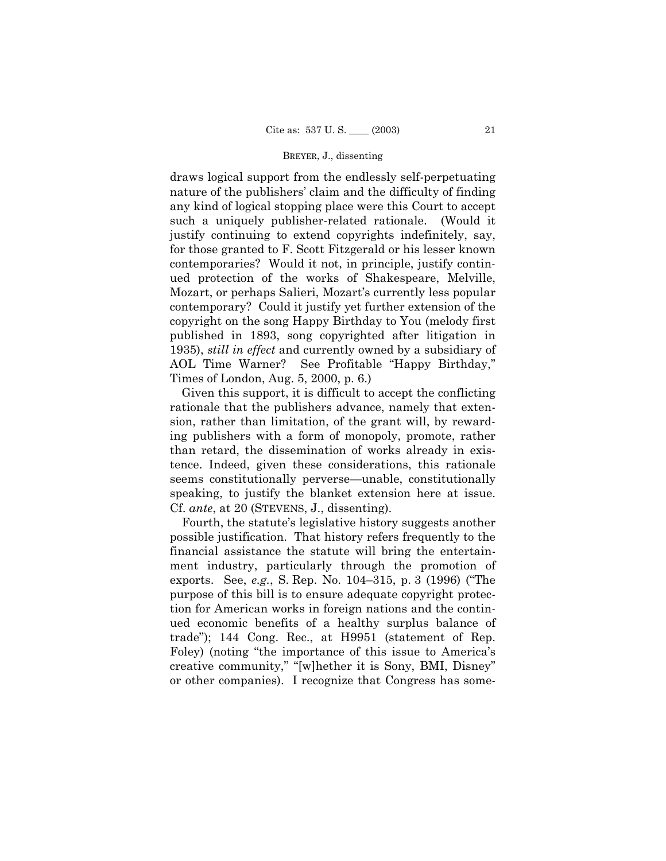draws logical support from the endlessly self-perpetuating nature of the publishers' claim and the difficulty of finding any kind of logical stopping place were this Court to accept such a uniquely publisher-related rationale. (Would it justify continuing to extend copyrights indefinitely, say, for those granted to F. Scott Fitzgerald or his lesser known contemporaries? Would it not, in principle, justify continued protection of the works of Shakespeare, Melville, Mozart, or perhaps Salieri, Mozart's currently less popular contemporary? Could it justify yet further extension of the copyright on the song Happy Birthday to You (melody first published in 1893, song copyrighted after litigation in 1935), *still in effect* and currently owned by a subsidiary of AOL Time Warner? See Profitable "Happy Birthday," Times of London, Aug. 5, 2000, p. 6.)

Given this support, it is difficult to accept the conflicting rationale that the publishers advance, namely that extension, rather than limitation, of the grant will, by rewarding publishers with a form of monopoly, promote, rather than retard, the dissemination of works already in existence. Indeed, given these considerations, this rationale seems constitutionally perverse—unable, constitutionally speaking, to justify the blanket extension here at issue. Cf. *ante*, at 20 (STEVENS, J., dissenting).

Fourth, the statute's legislative history suggests another possible justification. That history refers frequently to the financial assistance the statute will bring the entertainment industry, particularly through the promotion of exports. See, *e.g.*, S. Rep. No. 104–315, p. 3 (1996) ("The purpose of this bill is to ensure adequate copyright protection for American works in foreign nations and the continued economic benefits of a healthy surplus balance of tradeî); 144 Cong. Rec., at H9951 (statement of Rep. Foley) (noting "the importance of this issue to America's creative community," "[w]hether it is Sony, BMI, Disney" or other companies). I recognize that Congress has some-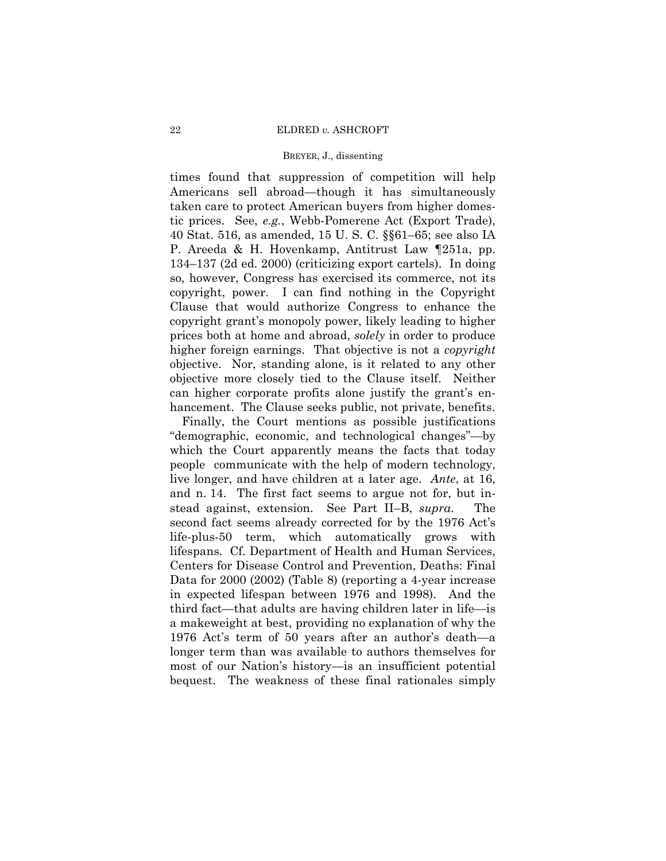### 22 ELDRED *v.* ASHCROFT

#### BREYER, J., dissenting

times found that suppression of competition will help Americans sell abroad—though it has simultaneously taken care to protect American buyers from higher domestic prices. See, *e.g.*, Webb-Pomerene Act (Export Trade), 40 Stat. 516, as amended, 15 U.S.C. §§61-65; see also IA P. Areeda & H. Hovenkamp, Antitrust Law ¶251a, pp.  $134-137$  (2d ed. 2000) (criticizing export cartels). In doing so, however, Congress has exercised its commerce, not its copyright, power. I can find nothing in the Copyright Clause that would authorize Congress to enhance the copyright grant's monopoly power, likely leading to higher prices both at home and abroad, *solely* in order to produce higher foreign earnings. That objective is not a *copyright* objective. Nor, standing alone, is it related to any other objective more closely tied to the Clause itself. Neither can higher corporate profits alone justify the grant's enhancement. The Clause seeks public, not private, benefits.

Finally, the Court mentions as possible justifications "demographic, economic, and technological changes"—by which the Court apparently means the facts that today people communicate with the help of modern technology, live longer, and have children at a later age. *Ante*, at 16, and n. 14. The first fact seems to argue not for, but instead against, extension. See Part II-B, *supra*. The second fact seems already corrected for by the 1976 Act's life-plus-50 term, which automatically grows with lifespans. Cf. Department of Health and Human Services, Centers for Disease Control and Prevention, Deaths: Final Data for 2000 (2002) (Table 8) (reporting a 4-year increase in expected lifespan between 1976 and 1998). And the third fact—that adults are having children later in life—is a makeweight at best, providing no explanation of why the  $1976$  Act's term of 50 years after an author's death—a longer term than was available to authors themselves for most of our Nation's history—is an insufficient potential bequest. The weakness of these final rationales simply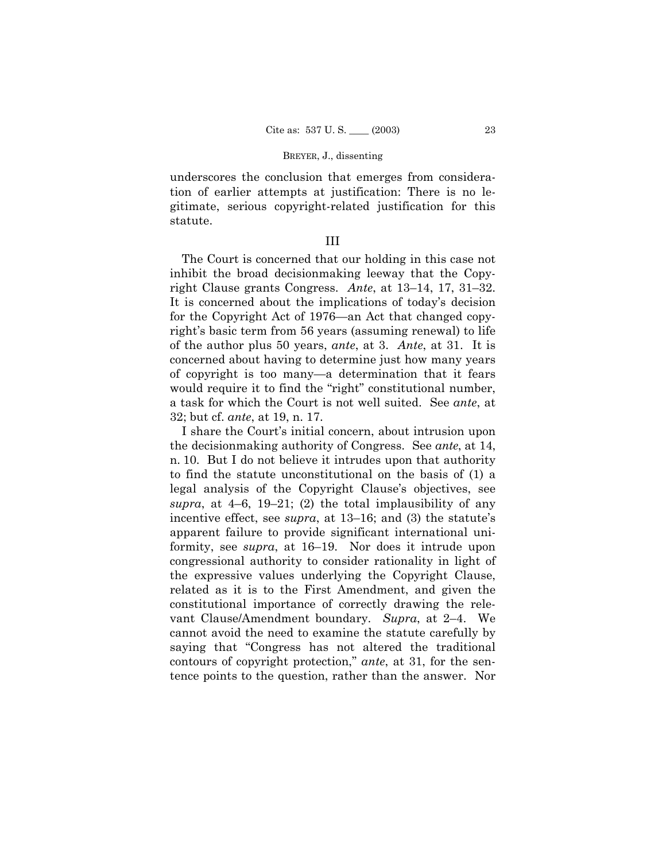underscores the conclusion that emerges from consideration of earlier attempts at justification: There is no legitimate, serious copyright-related justification for this statute.

### III

The Court is concerned that our holding in this case not inhibit the broad decisionmaking leeway that the Copyright Clause grants Congress. *Ante*, at  $13-14$ ,  $17$ ,  $31-32$ . It is concerned about the implications of today's decision for the Copyright Act of 1976—an Act that changed copyright's basic term from 56 years (assuming renewal) to life of the author plus 50 years, *ante*, at 3. *Ante*, at 31. It is concerned about having to determine just how many years of copyright is too many—a determination that it fears would require it to find the "right" constitutional number, a task for which the Court is not well suited. See *ante*, at 32; but cf. *ante*, at 19, n. 17.

I share the Court's initial concern, about intrusion upon the decisionmaking authority of Congress. See *ante*, at 14, n. 10. But I do not believe it intrudes upon that authority to find the statute unconstitutional on the basis of (1) a legal analysis of the Copyright Clause's objectives, see *supra*, at  $4-6$ ,  $19-21$ ; (2) the total implausibility of any incentive effect, see *supra*, at 13–16; and (3) the statute's apparent failure to provide significant international uniformity, see *supra*, at 16–19. Nor does it intrude upon congressional authority to consider rationality in light of the expressive values underlying the Copyright Clause, related as it is to the First Amendment, and given the constitutional importance of correctly drawing the relevant Clause/Amendment boundary. *Supra*, at 2–4. We cannot avoid the need to examine the statute carefully by saying that "Congress has not altered the traditional contours of copyright protection,<sup>n</sup> ante, at 31, for the sentence points to the question, rather than the answer. Nor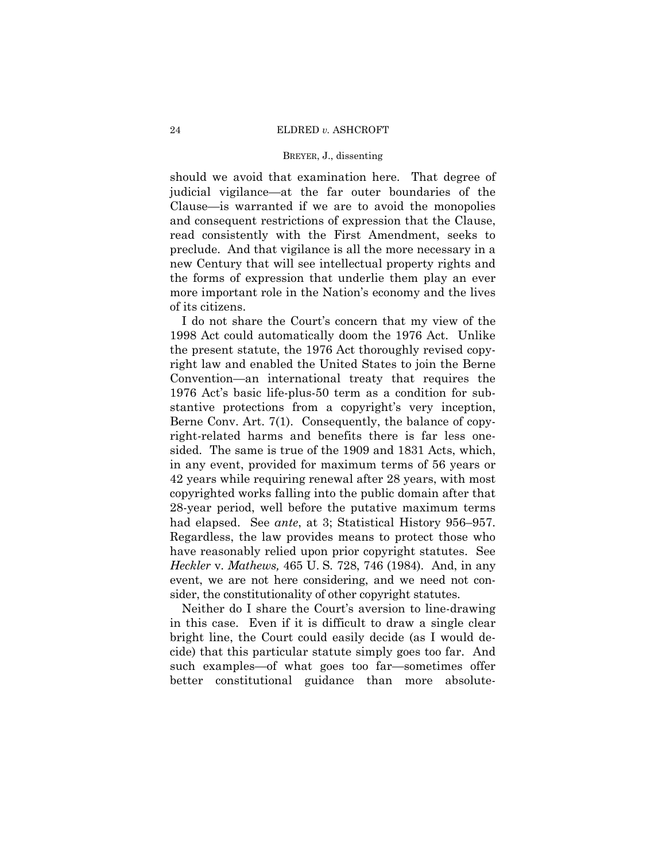should we avoid that examination here. That degree of judicial vigilance—at the far outer boundaries of the Clause—is warranted if we are to avoid the monopolies and consequent restrictions of expression that the Clause, read consistently with the First Amendment, seeks to preclude. And that vigilance is all the more necessary in a new Century that will see intellectual property rights and the forms of expression that underlie them play an ever more important role in the Nation's economy and the lives of its citizens.

I do not share the Court's concern that my view of the 1998 Act could automatically doom the 1976 Act. Unlike the present statute, the 1976 Act thoroughly revised copyright law and enabled the United States to join the Berne Convention—an international treaty that requires the 1976 Act's basic life-plus-50 term as a condition for substantive protections from a copyright's very inception, Berne Conv. Art. 7(1). Consequently, the balance of copyright-related harms and benefits there is far less onesided. The same is true of the 1909 and 1831 Acts, which, in any event, provided for maximum terms of 56 years or 42 years while requiring renewal after 28 years, with most copyrighted works falling into the public domain after that 28-year period, well before the putative maximum terms had elapsed. See *ante*, at 3; Statistical History 956–957. Regardless, the law provides means to protect those who have reasonably relied upon prior copyright statutes. See *Heckler* v. *Mathews,* 465 U. S. 728, 746 (1984). And, in any event, we are not here considering, and we need not consider, the constitutionality of other copyright statutes.

Neither do I share the Court's aversion to line-drawing in this case. Even if it is difficult to draw a single clear bright line, the Court could easily decide (as I would decide) that this particular statute simply goes too far. And such examples—of what goes too far—sometimes offer better constitutional guidance than more absolute-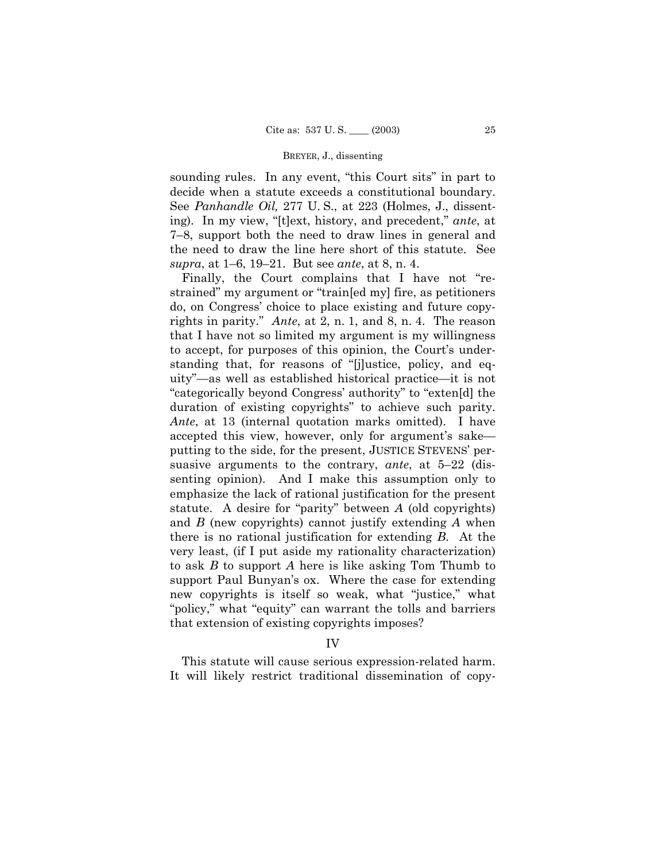sounding rules. In any event, "this Court sits" in part to decide when a statute exceeds a constitutional boundary. See *Panhandle Oil,* 277 U. S., at 223 (Holmes, J., dissenting). In my view, "[t]ext, history, and precedent," ante, at 7–8, support both the need to draw lines in general and the need to draw the line here short of this statute. See *supra*, at 1–6, 19–21. But see *ante*, at 8, n. 4.

Finally, the Court complains that I have not  $ire$ strained" my argument or "train[ed my] fire, as petitioners do, on Congressí choice to place existing and future copyrights in parity.î *Ante*, at 2, n. 1, and 8, n. 4. The reason that I have not so limited my argument is my willingness to accept, for purposes of this opinion, the Court's understanding that, for reasons of "[j]ustice, policy, and equity"—as well as established historical practice—it is not "categorically beyond Congress' authority" to "exten[d] the duration of existing copyrights" to achieve such parity. *Ante*, at 13 (internal quotation marks omitted). I have accepted this view, however, only for argument's sake putting to the side, for the present, JUSTICE STEVENS' persuasive arguments to the contrary, *ante*, at 5–22 (dissenting opinion). And I make this assumption only to emphasize the lack of rational justification for the present statute. A desire for "parity" between  $A$  (old copyrights) and *B* (new copyrights) cannot justify extending *A* when there is no rational justification for extending *B*. At the very least, (if I put aside my rationality characterization) to ask *B* to support *A* here is like asking Tom Thumb to support Paul Bunyan's ox. Where the case for extending new copyrights is itself so weak, what "justice," what "policy," what "equity" can warrant the tolls and barriers that extension of existing copyrights imposes?

#### IV

This statute will cause serious expression-related harm. It will likely restrict traditional dissemination of copy-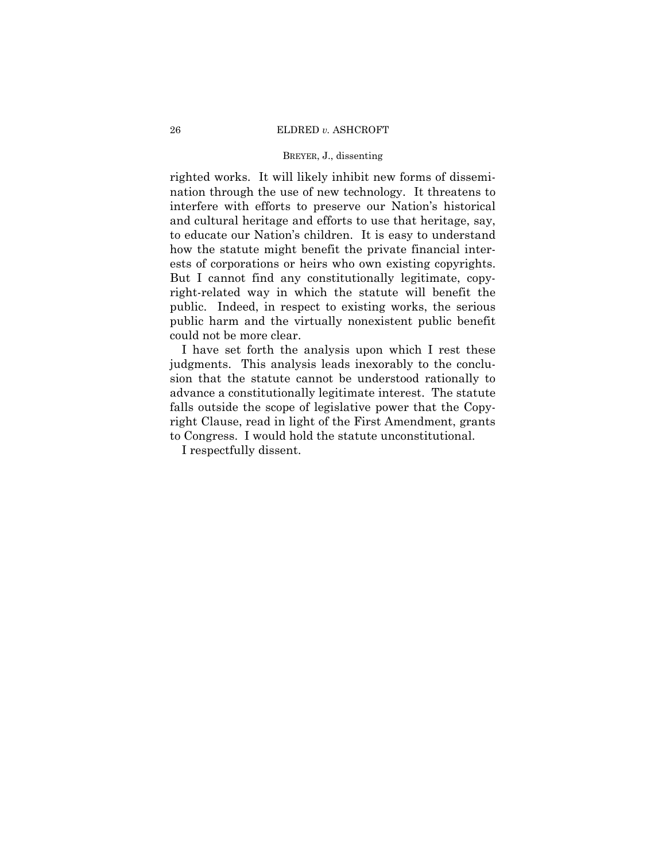#### 26 ELDRED *v.* ASHCROFT

### BREYER, J., dissenting

righted works. It will likely inhibit new forms of dissemination through the use of new technology. It threatens to interfere with efforts to preserve our Nation's historical and cultural heritage and efforts to use that heritage, say, to educate our Nationís children. It is easy to understand how the statute might benefit the private financial interests of corporations or heirs who own existing copyrights. But I cannot find any constitutionally legitimate, copyright-related way in which the statute will benefit the public. Indeed, in respect to existing works, the serious public harm and the virtually nonexistent public benefit could not be more clear.

I have set forth the analysis upon which I rest these judgments. This analysis leads inexorably to the conclusion that the statute cannot be understood rationally to advance a constitutionally legitimate interest. The statute falls outside the scope of legislative power that the Copyright Clause, read in light of the First Amendment, grants to Congress. I would hold the statute unconstitutional.

I respectfully dissent.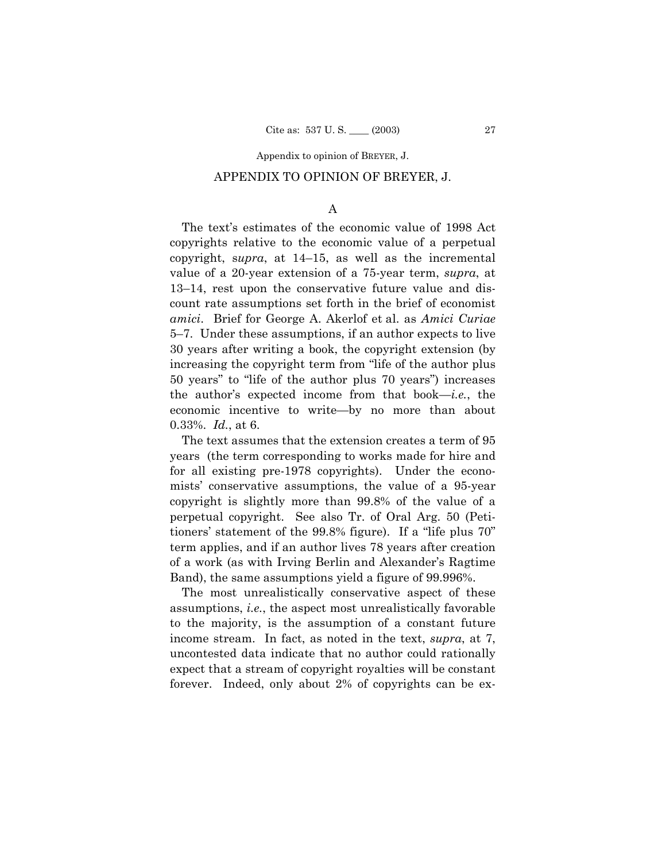Appendix to opinion of BREYER, J.

### APPENDIX TO OPINION OF BREYER, J.

### A

The text's estimates of the economic value of 1998 Act copyrights relative to the economic value of a perpetual copyright, supra, at  $14-15$ , as well as the incremental value of a 20-year extension of a 75-year term, *supra*, at  $13-14$ , rest upon the conservative future value and discount rate assumptions set forth in the brief of economist *amici*. Brief for George A. Akerlof et al. as *Amici Curiae* 5–7. Under these assumptions, if an author expects to live 30 years after writing a book, the copyright extension (by increasing the copyright term from "life of the author plus 50 years" to "life of the author plus 70 years") increases the author's expected income from that book—*i.e.*, the economic incentive to write—by no more than about 0.33%. *Id.*, at 6.

The text assumes that the extension creates a term of 95 years (the term corresponding to works made for hire and for all existing pre-1978 copyrights). Under the economists' conservative assumptions, the value of a 95-year copyright is slightly more than 99.8% of the value of a perpetual copyright. See also Tr. of Oral Arg. 50 (Petitioners' statement of the  $99.8\%$  figure). If a "life plus  $70$ " term applies, and if an author lives 78 years after creation of a work (as with Irving Berlin and Alexanderís Ragtime Band), the same assumptions yield a figure of 99.996%.

The most unrealistically conservative aspect of these assumptions, *i.e.*, the aspect most unrealistically favorable to the majority, is the assumption of a constant future income stream. In fact, as noted in the text, *supra*, at 7, uncontested data indicate that no author could rationally expect that a stream of copyright royalties will be constant forever. Indeed, only about 2% of copyrights can be ex-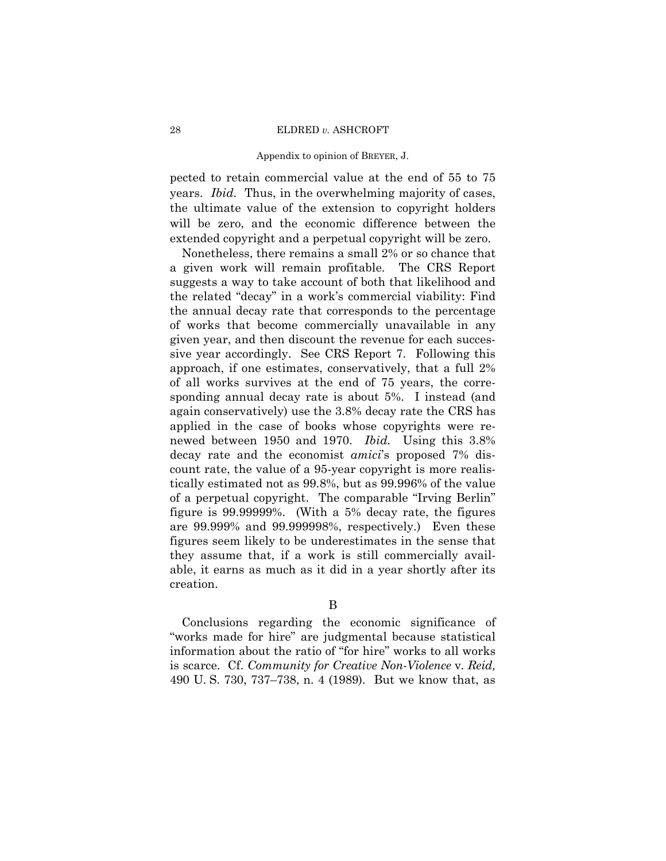#### 28 ELDRED *v.* ASHCROFT

#### Appendix to opinion of BREYER, J.

pected to retain commercial value at the end of 55 to 75 years. *Ibid.* Thus, in the overwhelming majority of cases, the ultimate value of the extension to copyright holders will be zero, and the economic difference between the extended copyright and a perpetual copyright will be zero.

Nonetheless, there remains a small 2% or so chance that a given work will remain profitable. The CRS Report suggests a way to take account of both that likelihood and the related "decay" in a work's commercial viability: Find the annual decay rate that corresponds to the percentage of works that become commercially unavailable in any given year, and then discount the revenue for each successive year accordingly. See CRS Report 7. Following this approach, if one estimates, conservatively, that a full 2% of all works survives at the end of 75 years, the corresponding annual decay rate is about 5%. I instead (and again conservatively) use the 3.8% decay rate the CRS has applied in the case of books whose copyrights were renewed between 1950 and 1970. *Ibid.* Using this 3.8% decay rate and the economist *amici*ís proposed 7% discount rate, the value of a 95-year copyright is more realistically estimated not as 99.8%, but as 99.996% of the value of a perpetual copyright. The comparable "Irving Berlin" figure is 99.99999%. (With a 5% decay rate, the figures are 99.999% and 99.999998%, respectively.) Even these figures seem likely to be underestimates in the sense that they assume that, if a work is still commercially available, it earns as much as it did in a year shortly after its creation.

B

Conclusions regarding the economic significance of "works made for hire" are judgmental because statistical information about the ratio of "for hire" works to all works is scarce. Cf. *Community for Creative Non-Violence* v. *Reid,* 490 U.S. 730, 737–738, n. 4 (1989). But we know that, as